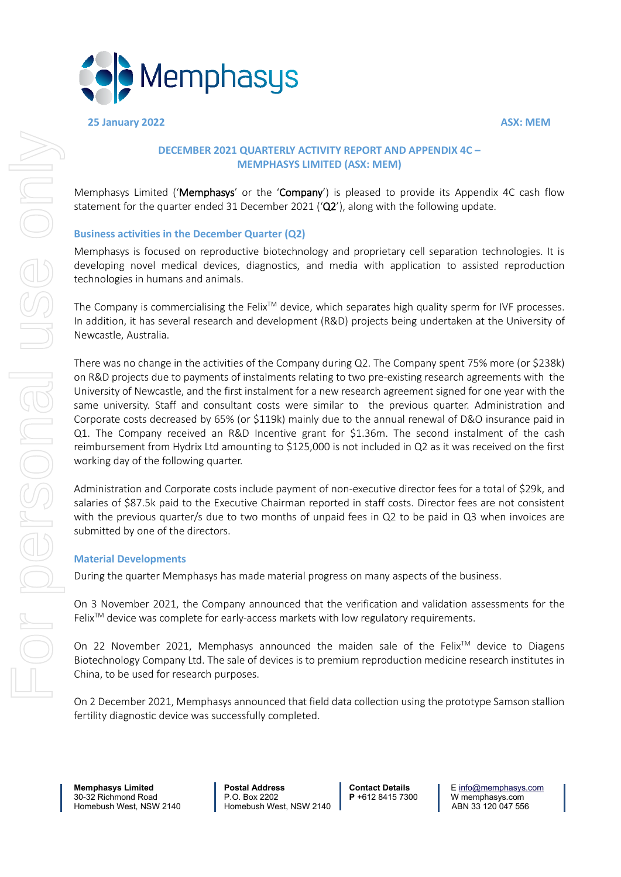

**25 January 2022 ASX: MEM**

### **DECEMBER 2021 QUARTERLY ACTIVITY REPORT AND APPENDIX 4C – MEMPHASYS LIMITED (ASX: MEM)**

Memphasys Limited ('Memphasys' or the 'Company') is pleased to provide its Appendix 4C cash flow statement for the quarter ended 31 December 2021 ('Q2'), along with the following update.

### **Business activities in the December Quarter (Q2)**

Memphasys is focused on reproductive biotechnology and proprietary cell separation technologies. It is developing novel medical devices, diagnostics, and media with application to assisted reproduction technologies in humans and animals.

The Company is commercialising the Felix<sup>TM</sup> device, which separates high quality sperm for IVF processes. In addition, it has several research and development (R&D) projects being undertaken at the University of Newcastle, Australia.

There was no change in the activities of the Company during Q2. The Company spent 75% more (or \$238k) on R&D projects due to payments of instalments relating to two pre-existing research agreements with the University of Newcastle, and the first instalment for a new research agreement signed for one year with the same university. Staff and consultant costs were similar to the previous quarter. Administration and Corporate costs decreased by 65% (or \$119k) mainly due to the annual renewal of D&O insurance paid in Q1. The Company received an R&D Incentive grant for \$1.36m. The second instalment of the cash reimbursement from Hydrix Ltd amounting to \$125,000 is not included in Q2 as it was received on the first working day of the following quarter.

Administration and Corporate costs include payment of non-executive director fees for a total of \$29k, and salaries of \$87.5k paid to the Executive Chairman reported in staff costs. Director fees are not consistent with the previous quarter/s due to two months of unpaid fees in Q2 to be paid in Q3 when invoices are submitted by one of the directors.

### **Material Developments**

During the quarter Memphasys has made material progress on many aspects of the business.

On 3 November 2021, the Company announced that the verification and validation assessments for the  $F$ elix<sup> $TM$ </sup> device was complete for early-access markets with low regulatory requirements.

On 22 November 2021, Memphasys announced the maiden sale of the Felix<sup>TM</sup> device to Diagens Biotechnology Company Ltd. The sale of devices is to premium reproduction medicine research institutes in China, to be used for research purposes.

On 2 December 2021, Memphasys announced that field data collection using the prototype Samson stallion fertility diagnostic device was successfully completed.

**Memphasys Limited Postal Address Contact Details** E <u>info@memphasys.com</u><br>30-32 Richmond Road P.O. Box 2202 P+612 8415 7300 W memphasys.com 30-32 Richmond Road P.O. Box 2202 **P** +612 8415 7300 W memphasys.com

Homebush West, NSW 2140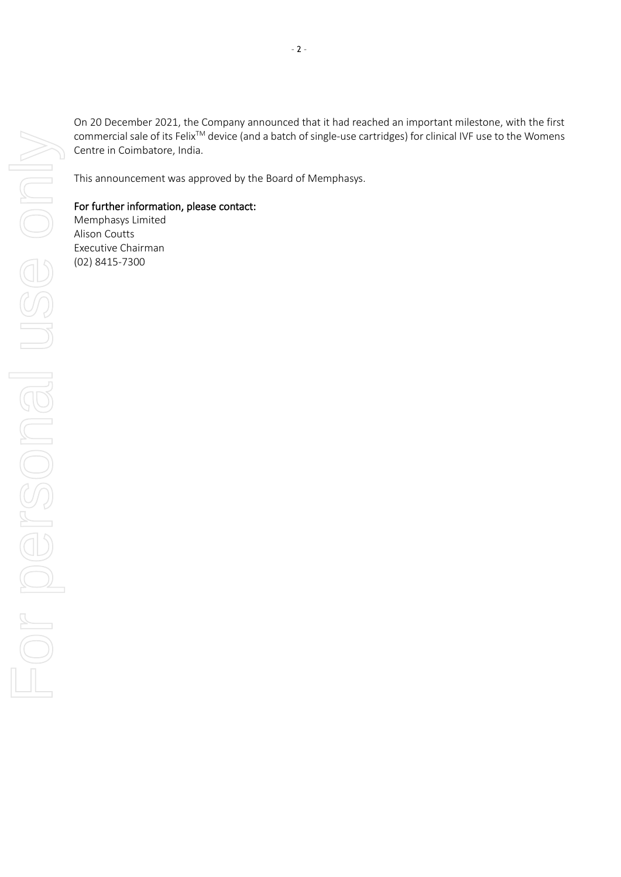For personal use only For personal use only

On 20 December 2021, the Company announced that it had reached an important milestone, with the first commercial sale of its Felix<sup>™</sup> device (and a batch of single-use cartridges) for clinical IVF use to the Womens Centre in Coimbatore, India.

This announcement was approved by the Board of Memphasys.

### For further information, please contact:

Memphasys Limited Alison Coutts Executive Chairman (02) 8415-7300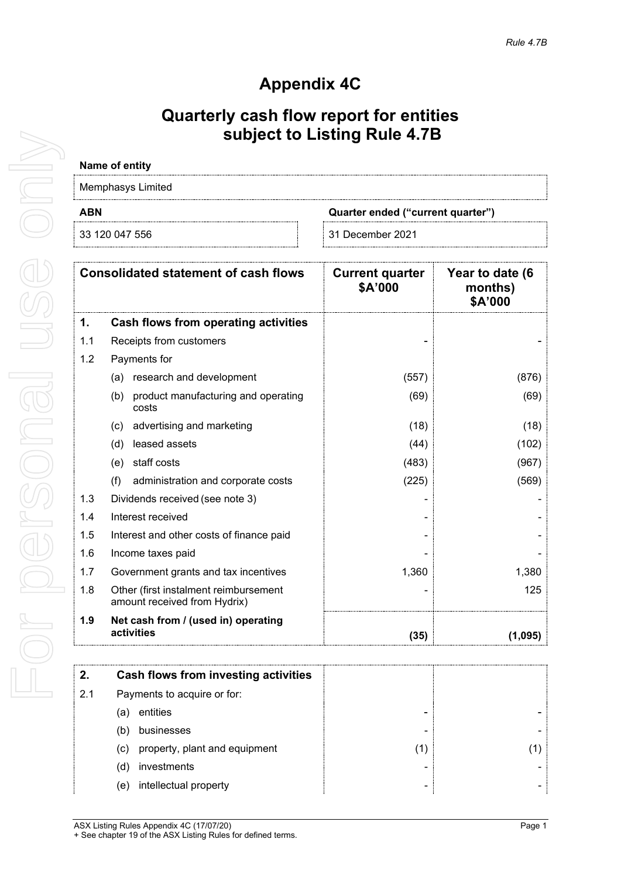## **Appendix 4C**

### **Quarterly cash flow report for entities subject to Listing Rule 4.7B**

# **Name of entity**

| Memphasys Limited |                                   |  |  |
|-------------------|-----------------------------------|--|--|
| ABN               | Quarter ended ("current quarter") |  |  |
| 33 120 047 556    | ⊟ 31 December 2021                |  |  |

|     | <b>Consolidated statement of cash flows</b>                           | <b>Current quarter</b><br>\$A'000 | Year to date (6<br>months)<br>\$A'000 |
|-----|-----------------------------------------------------------------------|-----------------------------------|---------------------------------------|
| 1.  | Cash flows from operating activities                                  |                                   |                                       |
| 1.1 | Receipts from customers                                               |                                   |                                       |
| 1.2 | Payments for                                                          |                                   |                                       |
|     | research and development<br>(a)                                       | (557)                             | (876)                                 |
|     | (b)<br>product manufacturing and operating<br>costs                   | (69)                              | (69)                                  |
|     | advertising and marketing<br>(c)                                      | (18)                              | (18)                                  |
|     | leased assets<br>(d)                                                  | (44)                              | (102)                                 |
|     | staff costs<br>(e)                                                    | (483)                             | (967)                                 |
|     | (f)<br>administration and corporate costs                             | (225)                             | (569)                                 |
| 1.3 | Dividends received (see note 3)                                       |                                   |                                       |
| 1.4 | Interest received                                                     |                                   |                                       |
| 1.5 | Interest and other costs of finance paid                              |                                   |                                       |
| 1.6 | Income taxes paid                                                     |                                   |                                       |
| 1.7 | Government grants and tax incentives                                  | 1,360                             | 1,380                                 |
| 1.8 | Other (first instalment reimbursement<br>amount received from Hydrix) |                                   | 125                                   |
| 1.9 | Net cash from / (used in) operating<br>activities                     | (35)                              | (1,095)                               |

| 2.  | Cash flows from investing activities |   |  |
|-----|--------------------------------------|---|--|
| 2.1 | Payments to acquire or for:          |   |  |
|     | entities<br>la                       |   |  |
|     | businesses<br>(b                     |   |  |
|     | property, plant and equipment<br>(C) |   |  |
|     | investments<br>(d                    |   |  |
|     | intellectual property<br>(e)         | - |  |

ASX Listing Rules Appendix 4C (17/07/20) **Page 1** + See chapter 19 of the ASX Listing Rules for defined terms.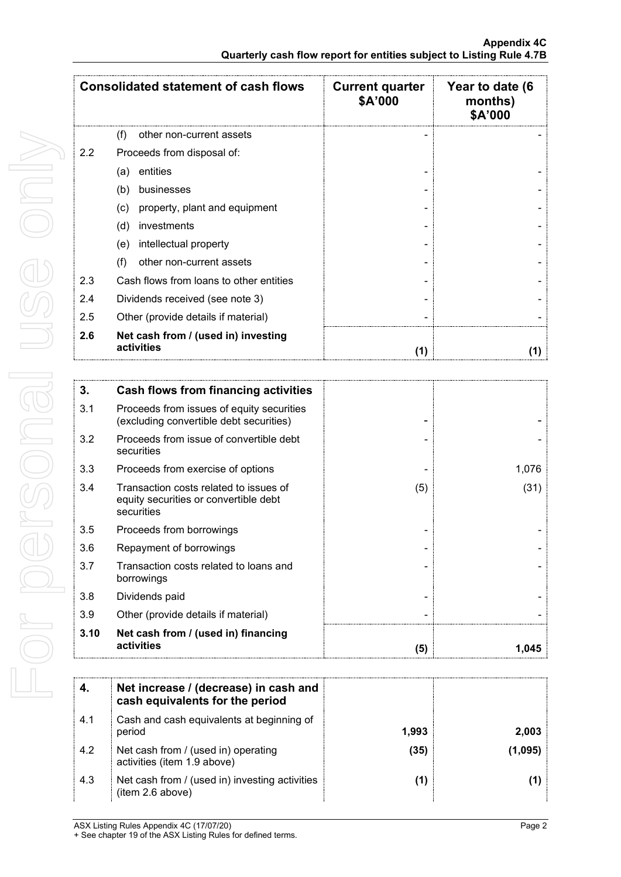|               | <b>Consolidated statement of cash flows</b>       | <b>Current quarter</b><br>\$A'000 | Year to date (6<br>months)<br>\$A'000 |
|---------------|---------------------------------------------------|-----------------------------------|---------------------------------------|
|               | other non-current assets<br>(t)                   |                                   |                                       |
| $2.2^{\circ}$ | Proceeds from disposal of:                        |                                   |                                       |
|               | entities<br>(a)                                   |                                   |                                       |
|               | (b)<br>businesses                                 |                                   |                                       |
|               | property, plant and equipment<br>(c)              |                                   |                                       |
|               | (d)<br>investments                                |                                   |                                       |
|               | intellectual property<br>(e)                      |                                   |                                       |
|               | other non-current assets<br>(f)                   |                                   |                                       |
| 2.3           | Cash flows from loans to other entities           |                                   |                                       |
| 2.4           | Dividends received (see note 3)                   |                                   |                                       |
| 2.5           | Other (provide details if material)               |                                   |                                       |
| 2.6           | Net cash from / (used in) investing<br>activities | (1)                               |                                       |

| 3.   | Cash flows from financing activities                                                          |     |       |
|------|-----------------------------------------------------------------------------------------------|-----|-------|
| 3.1  | Proceeds from issues of equity securities<br>(excluding convertible debt securities)          |     |       |
| 3.2  | Proceeds from issue of convertible debt<br>securities                                         |     |       |
| 3.3  | Proceeds from exercise of options                                                             |     | 1,076 |
| 3.4  | Transaction costs related to issues of<br>equity securities or convertible debt<br>securities | (5) | (31)  |
| 3.5  | Proceeds from borrowings                                                                      |     |       |
| 3.6  | Repayment of borrowings                                                                       |     |       |
| 3.7  | Transaction costs related to loans and<br>borrowings                                          |     |       |
| 3.8  | Dividends paid                                                                                |     |       |
| 3.9  | Other (provide details if material)                                                           |     |       |
| 3.10 | Net cash from / (used in) financing<br>activities                                             | (5) | 1,045 |

|     | Net increase / (decrease) in cash and<br>cash equivalents for the period |       |       |
|-----|--------------------------------------------------------------------------|-------|-------|
| 4.1 | Cash and cash equivalents at beginning of<br>period                      | 1.993 | 2.003 |
| 4.2 | Net cash from / (used in) operating<br>activities (item 1.9 above)       | (35)  |       |
| 4.3 | Net cash from / (used in) investing activities<br>(item 2.6 above)       |       |       |

For personal use only For personal use only

ASX Listing Rules Appendix 4C (17/07/20) **Page 2**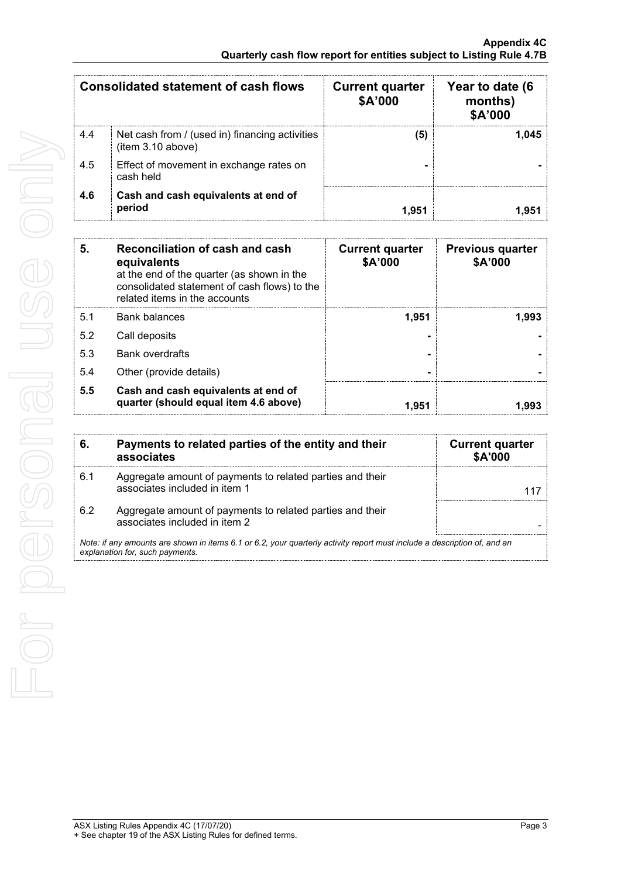| <b>Consolidated statement of cash flows</b> |                                                                     | <b>Current quarter</b><br>\$A'000 | Year to date (6<br>months)<br>\$A'000 |
|---------------------------------------------|---------------------------------------------------------------------|-----------------------------------|---------------------------------------|
| 4.4                                         | Net cash from / (used in) financing activities<br>(item 3.10 above) | 5                                 | 1.045                                 |
| 4.5                                         | Effect of movement in exchange rates on<br>cash held                |                                   |                                       |
| 4.6                                         | Cash and cash equivalents at end of<br>period                       |                                   |                                       |

| 5.  | Reconciliation of cash and cash<br>equivalents<br>at the end of the quarter (as shown in the<br>consolidated statement of cash flows) to the<br>related items in the accounts | <b>Current quarter</b><br>\$A'000 | <b>Previous quarter</b><br>\$A'000 |
|-----|-------------------------------------------------------------------------------------------------------------------------------------------------------------------------------|-----------------------------------|------------------------------------|
| 5.1 | <b>Bank balances</b>                                                                                                                                                          | 1,951                             | 1.993                              |
| 5.2 | Call deposits                                                                                                                                                                 |                                   |                                    |
| 5.3 | <b>Bank overdrafts</b>                                                                                                                                                        |                                   |                                    |
| 5.4 | Other (provide details)                                                                                                                                                       |                                   |                                    |
| 5.5 | Cash and cash equivalents at end of<br>quarter (should equal item 4.6 above)                                                                                                  | 1.951                             |                                    |

| 6.                                                                                                                                                          | Payments to related parties of the entity and their<br>associates                          | <b>Current quarter</b><br><b>\$A'000</b> |
|-------------------------------------------------------------------------------------------------------------------------------------------------------------|--------------------------------------------------------------------------------------------|------------------------------------------|
| 6.1                                                                                                                                                         | Aggregate amount of payments to related parties and their<br>associates included in item 1 |                                          |
| 6.2                                                                                                                                                         | Aggregate amount of payments to related parties and their<br>associates included in item 2 |                                          |
| Note: if any amounts are shown in items 6.1 or 6.2, your quarterly activity report must include a description of, and an<br>explanation for, such payments. |                                                                                            |                                          |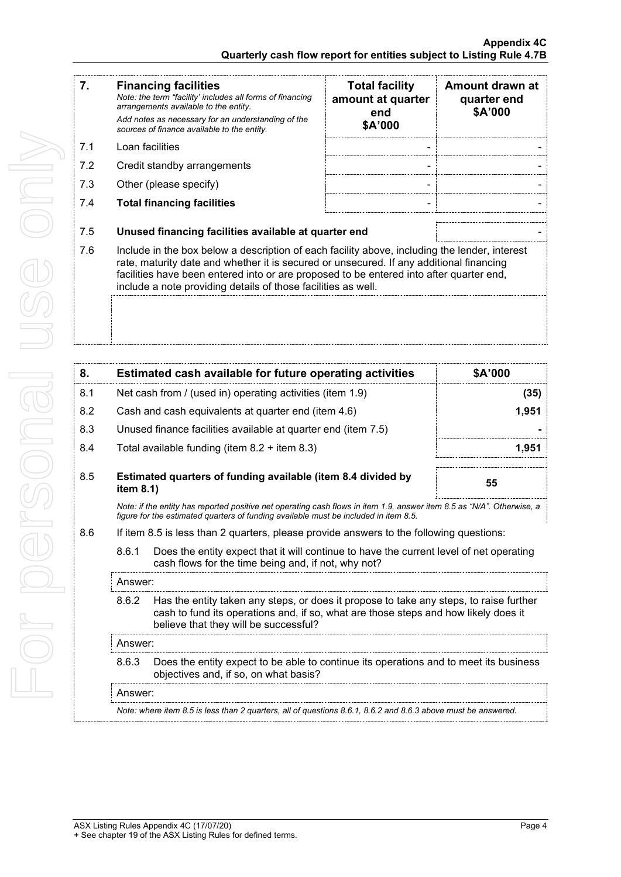÷  $\overline{a}$ 

| 7.  | <b>Financing facilities</b><br>Note: the term "facility' includes all forms of financing<br>arrangements available to the entity.<br>Add notes as necessary for an understanding of the                                                                                                                                                              | <b>Total facility</b><br>amount at quarter<br>end | Amount drawn at<br>quarter end<br>\$A'000 |
|-----|------------------------------------------------------------------------------------------------------------------------------------------------------------------------------------------------------------------------------------------------------------------------------------------------------------------------------------------------------|---------------------------------------------------|-------------------------------------------|
|     | sources of finance available to the entity.                                                                                                                                                                                                                                                                                                          | \$A'000                                           |                                           |
| 7.1 | Loan facilities                                                                                                                                                                                                                                                                                                                                      | $\blacksquare$                                    |                                           |
| 7.2 | Credit standby arrangements                                                                                                                                                                                                                                                                                                                          | $\blacksquare$                                    |                                           |
| 7.3 | Other (please specify)                                                                                                                                                                                                                                                                                                                               | -                                                 |                                           |
| 7.4 | <b>Total financing facilities</b>                                                                                                                                                                                                                                                                                                                    |                                                   |                                           |
| 7.5 | Unused financing facilities available at quarter end                                                                                                                                                                                                                                                                                                 |                                                   |                                           |
| 7.6 | Include in the box below a description of each facility above, including the lender, interest<br>rate, maturity date and whether it is secured or unsecured. If any additional financing<br>facilities have been entered into or are proposed to be entered into after quarter end,<br>include a note providing details of those facilities as well. |                                                   |                                           |
|     |                                                                                                                                                                                                                                                                                                                                                      |                                                   |                                           |

| 8.  |                                                                                                                                                                                                                                 | Estimated cash available for future operating activities                                                                                                                                                       | \$A'000 |  |
|-----|---------------------------------------------------------------------------------------------------------------------------------------------------------------------------------------------------------------------------------|----------------------------------------------------------------------------------------------------------------------------------------------------------------------------------------------------------------|---------|--|
| 8.1 | Net cash from / (used in) operating activities (item 1.9)                                                                                                                                                                       |                                                                                                                                                                                                                | (35)    |  |
| 8.2 |                                                                                                                                                                                                                                 | Cash and cash equivalents at quarter end (item 4.6)                                                                                                                                                            | 1,951   |  |
| 8.3 |                                                                                                                                                                                                                                 | Unused finance facilities available at quarter end (item 7.5)                                                                                                                                                  |         |  |
| 8.4 |                                                                                                                                                                                                                                 | Total available funding (item $8.2 +$ item $8.3$ )                                                                                                                                                             | 1,951   |  |
| 8.5 | item $8.1$ )                                                                                                                                                                                                                    | Estimated quarters of funding available (item 8.4 divided by                                                                                                                                                   | 55      |  |
|     |                                                                                                                                                                                                                                 | Note: if the entity has reported positive net operating cash flows in item 1.9, answer item 8.5 as "N/A". Otherwise, a<br>figure for the estimated quarters of funding available must be included in item 8.5. |         |  |
| 8.6 | If item 8.5 is less than 2 quarters, please provide answers to the following questions:                                                                                                                                         |                                                                                                                                                                                                                |         |  |
|     | 8.6.1<br>Does the entity expect that it will continue to have the current level of net operating<br>cash flows for the time being and, if not, why not?                                                                         |                                                                                                                                                                                                                |         |  |
|     | Answer:                                                                                                                                                                                                                         |                                                                                                                                                                                                                |         |  |
|     | Has the entity taken any steps, or does it propose to take any steps, to raise further<br>8.6.2<br>cash to fund its operations and, if so, what are those steps and how likely does it<br>believe that they will be successful? |                                                                                                                                                                                                                |         |  |
|     | Answer:                                                                                                                                                                                                                         |                                                                                                                                                                                                                |         |  |
|     | 8.6.3                                                                                                                                                                                                                           | Does the entity expect to be able to continue its operations and to meet its business<br>objectives and, if so, on what basis?                                                                                 |         |  |

Answer:

*Note: where item 8.5 is less than 2 quarters, all of questions 8.6.1, 8.6.2 and 8.6.3 above must be answered.*